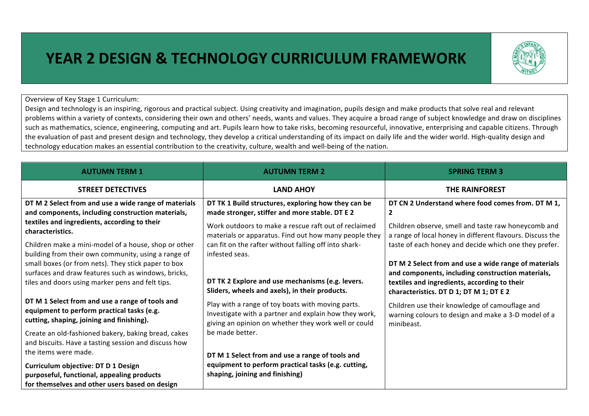## **YEAR 2 DESIGN & TECHNOLOGY CURRICULUM FRAMEWORK**



Overview of Key Stage 1 Curriculum:

Design and technology is an inspiring, rigorous and practical subject. Using creativity and imagination, pupils design and make products that solve real and relevant problems within a variety of contexts, considering their own and others' needs, wants and values. They acquire a broad range of subject knowledge and draw on disciplines such as mathematics, science, engineering, computing and art. Pupils learn how to take risks, becoming resourceful, innovative, enterprising and capable citizens. Through the evaluation of past and present design and technology, they develop a critical understanding of its impact on daily life and the wider world. High-quality design and technology education makes an essential contribution to the creativity, culture, wealth and well-being of the nation.

| <b>AUTUMN TERM 1</b>                                                                                                                       | <b>AUTUMN TERM 2</b>                                                                                                                                               | <b>SPRING TERM 3</b>                                                                                                |
|--------------------------------------------------------------------------------------------------------------------------------------------|--------------------------------------------------------------------------------------------------------------------------------------------------------------------|---------------------------------------------------------------------------------------------------------------------|
| <b>STREET DETECTIVES</b>                                                                                                                   | <b>LAND AHOY</b>                                                                                                                                                   | <b>THE RAINFOREST</b>                                                                                               |
| DT M 2 Select from and use a wide range of materials<br>and components, including construction materials,                                  | DT TK 1 Build structures, exploring how they can be<br>made stronger, stiffer and more stable. DT E 2                                                              | DT CN 2 Understand where food comes from. DT M 1,<br>$\overline{2}$                                                 |
| textiles and ingredients, according to their<br>characteristics.                                                                           | Work outdoors to make a rescue raft out of reclaimed<br>materials or apparatus. Find out how many people they                                                      | Children observe, smell and taste raw honeycomb and<br>a range of local honey in different flavours. Discuss the    |
| Children make a mini-model of a house, shop or other<br>building from their own community, using a range of                                | can fit on the rafter without falling off into shark-<br>infested seas.                                                                                            | taste of each honey and decide which one they prefer.                                                               |
| small boxes (or from nets). They stick paper to box<br>surfaces and draw features such as windows, bricks,                                 |                                                                                                                                                                    | DT M 2 Select from and use a wide range of materials<br>and components, including construction materials,           |
| tiles and doors using marker pens and felt tips.                                                                                           | DT TK 2 Explore and use mechanisms (e.g. levers.<br>Sliders, wheels and axels), in their products.                                                                 | textiles and ingredients, according to their<br>characteristics. DT D 1; DT M 1; DT E 2                             |
| DT M 1 Select from and use a range of tools and<br>equipment to perform practical tasks (e.g.<br>cutting, shaping, joining and finishing). | Play with a range of toy boats with moving parts.<br>Investigate with a partner and explain how they work,<br>giving an opinion on whether they work well or could | Children use their knowledge of camouflage and<br>warning colours to design and make a 3-D model of a<br>minibeast. |
| Create an old-fashioned bakery, baking bread, cakes<br>and biscuits. Have a tasting session and discuss how                                | be made better.                                                                                                                                                    |                                                                                                                     |
| the items were made.                                                                                                                       | DT M 1 Select from and use a range of tools and                                                                                                                    |                                                                                                                     |
| <b>Curriculum objective: DT D 1 Design</b>                                                                                                 | equipment to perform practical tasks (e.g. cutting,<br>shaping, joining and finishing)                                                                             |                                                                                                                     |
| purposeful, functional, appealing products<br>for themselves and other users based on design                                               |                                                                                                                                                                    |                                                                                                                     |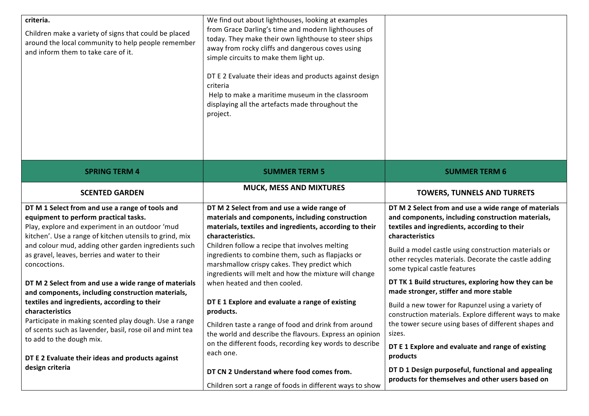| criteria.<br>Children make a variety of signs that could be placed<br>around the local community to help people remember<br>and inform them to take care of it.                                                                                                                                                                                                                                                                                                                                                                                                                                                                                                                                                                         | We find out about lighthouses, looking at examples<br>from Grace Darling's time and modern lighthouses of<br>today. They make their own lighthouse to steer ships<br>away from rocky cliffs and dangerous coves using<br>simple circuits to make them light up.<br>DT E 2 Evaluate their ideas and products against design<br>criteria<br>Help to make a maritime museum in the classroom<br>displaying all the artefacts made throughout the<br>project.                                                                                                                                                                                                                                                                             |                                                                                                                                                                                                                                                                                                                                                                                                                                                                                                                                                                                                                                                                                                                                       |
|-----------------------------------------------------------------------------------------------------------------------------------------------------------------------------------------------------------------------------------------------------------------------------------------------------------------------------------------------------------------------------------------------------------------------------------------------------------------------------------------------------------------------------------------------------------------------------------------------------------------------------------------------------------------------------------------------------------------------------------------|---------------------------------------------------------------------------------------------------------------------------------------------------------------------------------------------------------------------------------------------------------------------------------------------------------------------------------------------------------------------------------------------------------------------------------------------------------------------------------------------------------------------------------------------------------------------------------------------------------------------------------------------------------------------------------------------------------------------------------------|---------------------------------------------------------------------------------------------------------------------------------------------------------------------------------------------------------------------------------------------------------------------------------------------------------------------------------------------------------------------------------------------------------------------------------------------------------------------------------------------------------------------------------------------------------------------------------------------------------------------------------------------------------------------------------------------------------------------------------------|
| <b>SPRING TERM 4</b>                                                                                                                                                                                                                                                                                                                                                                                                                                                                                                                                                                                                                                                                                                                    | <b>SUMMER TERM 5</b>                                                                                                                                                                                                                                                                                                                                                                                                                                                                                                                                                                                                                                                                                                                  | <b>SUMMER TERM 6</b>                                                                                                                                                                                                                                                                                                                                                                                                                                                                                                                                                                                                                                                                                                                  |
| <b>SCENTED GARDEN</b>                                                                                                                                                                                                                                                                                                                                                                                                                                                                                                                                                                                                                                                                                                                   | <b>MUCK, MESS AND MIXTURES</b>                                                                                                                                                                                                                                                                                                                                                                                                                                                                                                                                                                                                                                                                                                        | <b>TOWERS, TUNNELS AND TURRETS</b>                                                                                                                                                                                                                                                                                                                                                                                                                                                                                                                                                                                                                                                                                                    |
| DT M 1 Select from and use a range of tools and<br>equipment to perform practical tasks.<br>Play, explore and experiment in an outdoor 'mud<br>kitchen'. Use a range of kitchen utensils to grind, mix<br>and colour mud, adding other garden ingredients such<br>as gravel, leaves, berries and water to their<br>concoctions.<br>DT M 2 Select from and use a wide range of materials<br>and components, including construction materials,<br>textiles and ingredients, according to their<br>characteristics<br>Participate in making scented play dough. Use a range<br>of scents such as lavender, basil, rose oil and mint tea<br>to add to the dough mix.<br>DT E 2 Evaluate their ideas and products against<br>design criteria | DT M 2 Select from and use a wide range of<br>materials and components, including construction<br>materials, textiles and ingredients, according to their<br>characteristics.<br>Children follow a recipe that involves melting<br>ingredients to combine them, such as flapjacks or<br>marshmallow crispy cakes. They predict which<br>ingredients will melt and how the mixture will change<br>when heated and then cooled.<br>DT E 1 Explore and evaluate a range of existing<br>products.<br>Children taste a range of food and drink from around<br>the world and describe the flavours. Express an opinion<br>on the different foods, recording key words to describe<br>each one.<br>DT CN 2 Understand where food comes from. | DT M 2 Select from and use a wide range of materials<br>and components, including construction materials,<br>textiles and ingredients, according to their<br>characteristics<br>Build a model castle using construction materials or<br>other recycles materials. Decorate the castle adding<br>some typical castle features<br>DT TK 1 Build structures, exploring how they can be<br>made stronger, stiffer and more stable<br>Build a new tower for Rapunzel using a variety of<br>construction materials. Explore different ways to make<br>the tower secure using bases of different shapes and<br>sizes.<br>DT E 1 Explore and evaluate and range of existing<br>products<br>DT D 1 Design purposeful, functional and appealing |
|                                                                                                                                                                                                                                                                                                                                                                                                                                                                                                                                                                                                                                                                                                                                         | Children sort a range of foods in different ways to show                                                                                                                                                                                                                                                                                                                                                                                                                                                                                                                                                                                                                                                                              | products for themselves and other users based on                                                                                                                                                                                                                                                                                                                                                                                                                                                                                                                                                                                                                                                                                      |